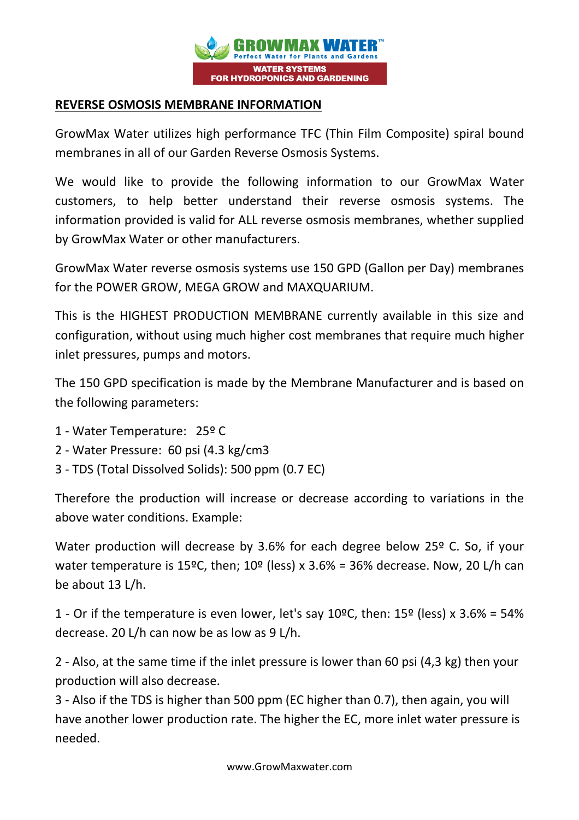

## **REVERSE OSMOSIS MEMBRANE INFORMATION**

GrowMax Water utilizes high performance TFC (Thin Film Composite) spiral bound membranes in all of our Garden Reverse Osmosis Systems.

We would like to provide the following information to our GrowMax Water customers, to help better understand their reverse osmosis systems. The information provided is valid for ALL reverse osmosis membranes, whether supplied by GrowMax Water or other manufacturers.

GrowMax Water reverse osmosis systems use 150 GPD (Gallon per Day) membranes for the POWER GROW, MEGA GROW and MAXQUARIUM.

This is the HIGHEST PRODUCTION MEMBRANE currently available in this size and configuration, without using much higher cost membranes that require much higher inlet pressures, pumps and motors.

The 150 GPD specification is made by the Membrane Manufacturer and is based on the following parameters:

- 1 Water Temperature: 25º C
- 2 Water Pressure: 60 psi (4.3 kg/cm3
- 3 TDS (Total Dissolved Solids): 500 ppm (0.7 EC)

Therefore the production will increase or decrease according to variations in the above water conditions. Example:

Water production will decrease by 3.6% for each degree below 25<sup>o</sup> C. So, if your water temperature is 15°C, then;  $10^{\circ}$  (less) x 3.6% = 36% decrease. Now, 20 L/h can be about 13 L/h.

1 - Or if the temperature is even lower, let's say  $10^{\circ}$ C, then:  $15^{\circ}$  (less) x  $3.6\%$  = 54% decrease. 20 L/h can now be as low as 9 L/h.

2 - Also, at the same time if the inlet pressure is lower than 60 psi (4,3 kg) then your production will also decrease.

3 - Also if the TDS is higher than 500 ppm (EC higher than 0.7), then again, you will have another lower production rate. The higher the EC, more inlet water pressure is needed.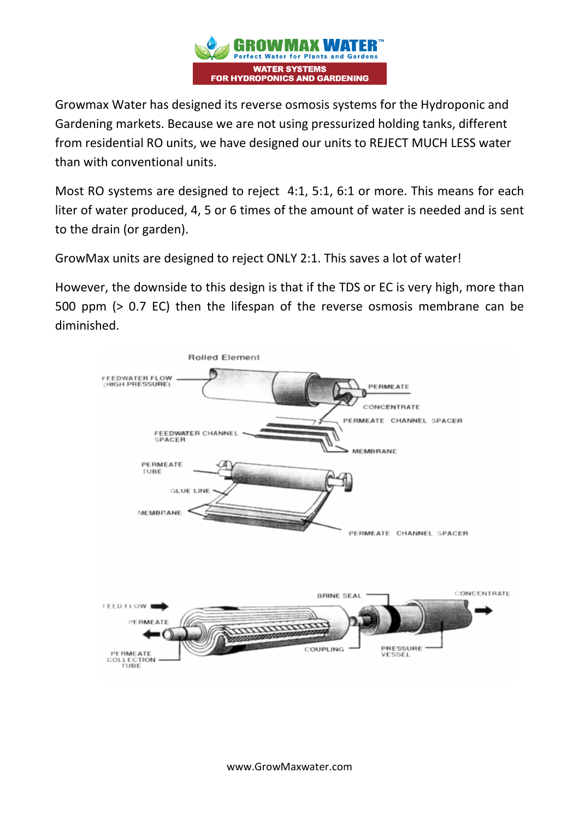

Growmax Water has designed its reverse osmosis systems for the Hydroponic and Gardening markets. Because we are not using pressurized holding tanks, different from residential RO units, we have designed our units to REJECT MUCH LESS water than with conventional units.

Most RO systems are designed to reject 4:1, 5:1, 6:1 or more. This means for each liter of water produced, 4, 5 or 6 times of the amount of water is needed and is sent to the drain (or garden).

GrowMax units are designed to reject ONLY 2:1. This saves a lot of water!

However, the downside to this design is that if the TDS or EC is very high, more than 500 ppm (> 0.7 EC) then the lifespan of the reverse osmosis membrane can be diminished.